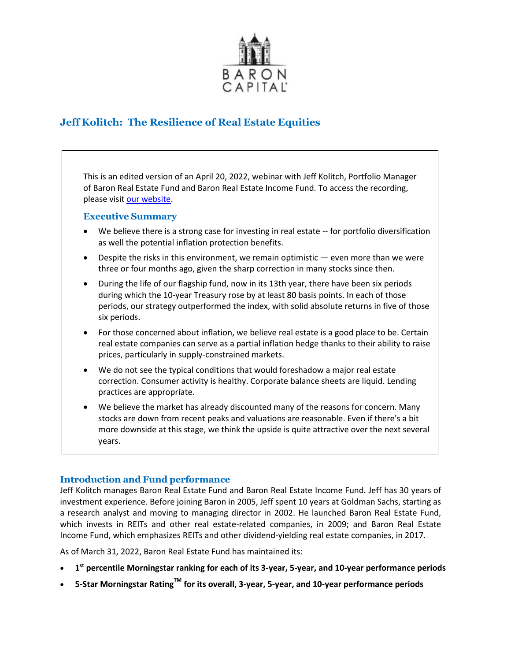

# **Jeff Kolitch: The Resilience of Real Estate Equities**

This is an edited version of an April 20, 2022, webinar with Jeff Kolitch, Portfolio Manager of Baron Real Estate Fund and Baron Real Estate Income Fund. To access the recording, please visi[t our website.](https://www.baronfunds.com/insights/conference-calls)

# **Executive Summary**

- We believe there is a strong case for investing in real estate -- for portfolio diversification as well the potential inflation protection benefits.
- Despite the risks in this environment, we remain optimistic even more than we were three or four months ago, given the sharp correction in many stocks since then.
- During the life of our flagship fund, now in its 13th year, there have been six periods during which the 10-year Treasury rose by at least 80 basis points. In each of those periods, our strategy outperformed the index, with solid absolute returns in five of those six periods.
- For those concerned about inflation, we believe real estate is a good place to be. Certain real estate companies can serve as a partial inflation hedge thanks to their ability to raise prices, particularly in supply-constrained markets.
- We do not see the typical conditions that would foreshadow a major real estate correction. Consumer activity is healthy. Corporate balance sheets are liquid. Lending practices are appropriate.
- We believe the market has already discounted many of the reasons for concern. Many stocks are down from recent peaks and valuations are reasonable. Even if there's a bit more downside at this stage, we think the upside is quite attractive over the next several years.

# **Introduction and Fund performance**

Jeff Kolitch manages Baron Real Estate Fund and Baron Real Estate Income Fund. Jeff has 30 years of investment experience. Before joining Baron in 2005, Jeff spent 10 years at Goldman Sachs, starting as a research analyst and moving to managing director in 2002. He launched Baron Real Estate Fund, which invests in REITs and other real estate-related companies, in 2009; and Baron Real Estate Income Fund, which emphasizes REITs and other dividend-yielding real estate companies, in 2017.

As of March 31, 2022, Baron Real Estate Fund has maintained its:

- **1st percentile Morningstar ranking for each of its 3-year, 5-year, and 10-year performance periods**
- **5-Star Morningstar RatingTM for its overall, 3-year, 5-year, and 10-year performance periods**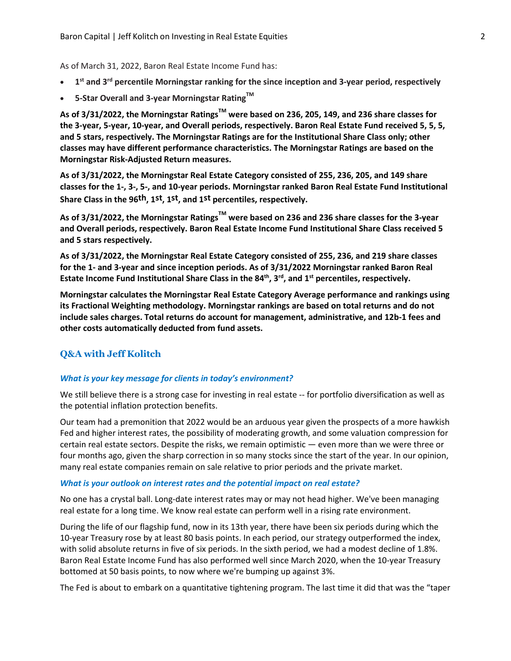As of March 31, 2022, Baron Real Estate Income Fund has:

- **1st and 3rd percentile Morningstar ranking for the since inception and 3-year period, respectively**
- **5-Star Overall and 3-year Morningstar RatingTM**

**As of 3/31/2022, the Morningstar RatingsTM were based on 236, 205, 149, and 236 share classes for the 3-year, 5-year, 10-year, and Overall periods, respectively. Baron Real Estate Fund received 5, 5, 5, and 5 stars, respectively. The Morningstar Ratings are for the Institutional Share Class only; other classes may have different performance characteristics. The Morningstar Ratings are based on the Morningstar Risk-Adjusted Return measures.** 

**As of 3/31/2022, the Morningstar Real Estate Category consisted of 255, 236, 205, and 149 share classes for the 1-, 3-, 5-, and 10-year periods. Morningstar ranked Baron Real Estate Fund Institutional Share Class in the 96th, 1st, 1st, and 1st percentiles, respectively.** 

**As of 3/31/2022, the Morningstar RatingsTM were based on 236 and 236 share classes for the 3-year and Overall periods, respectively. Baron Real Estate Income Fund Institutional Share Class received 5 and 5 stars respectively.**

**As of 3/31/2022, the Morningstar Real Estate Category consisted of 255, 236, and 219 share classes for the 1- and 3-year and since inception periods. As of 3/31/2022 Morningstar ranked Baron Real**  Estate Income Fund Institutional Share Class in the 84<sup>th</sup>, 3<sup>rd</sup>, and 1<sup>st</sup> percentiles, respectively.

**Morningstar calculates the Morningstar Real Estate Category Average performance and rankings using its Fractional Weighting methodology. Morningstar rankings are based on total returns and do not include sales charges. Total returns do account for management, administrative, and 12b-1 fees and other costs automatically deducted from fund assets.** 

# **Q&A with Jeff Kolitch**

# *What is your key message for clients in today's environment?*

We still believe there is a strong case for investing in real estate -- for portfolio diversification as well as the potential inflation protection benefits.

Our team had a premonition that 2022 would be an arduous year given the prospects of a more hawkish Fed and higher interest rates, the possibility of moderating growth, and some valuation compression for certain real estate sectors. Despite the risks, we remain optimistic — even more than we were three or four months ago, given the sharp correction in so many stocks since the start of the year. In our opinion, many real estate companies remain on sale relative to prior periods and the private market.

#### *What is your outlook on interest rates and the potential impact on real estate?*

No one has a crystal ball. Long-date interest rates may or may not head higher. We've been managing real estate for a long time. We know real estate can perform well in a rising rate environment.

During the life of our flagship fund, now in its 13th year, there have been six periods during which the 10-year Treasury rose by at least 80 basis points. In each period, our strategy outperformed the index, with solid absolute returns in five of six periods. In the sixth period, we had a modest decline of 1.8%. Baron Real Estate Income Fund has also performed well since March 2020, when the 10-year Treasury bottomed at 50 basis points, to now where we're bumping up against 3%.

The Fed is about to embark on a quantitative tightening program. The last time it did that was the "taper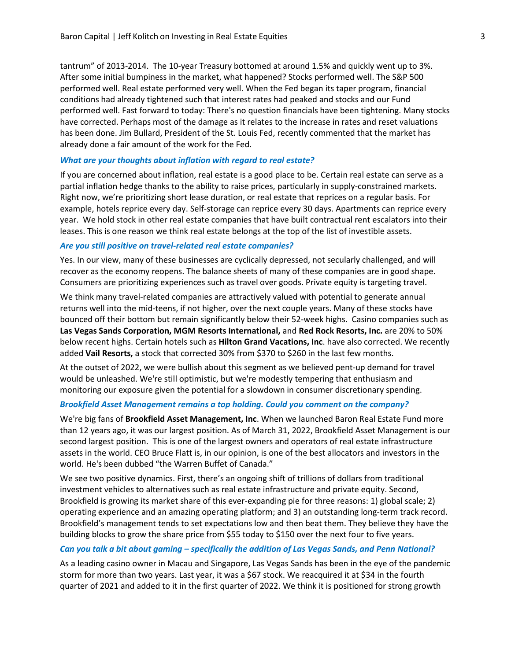tantrum" of 2013-2014. The 10-year Treasury bottomed at around 1.5% and quickly went up to 3%. After some initial bumpiness in the market, what happened? Stocks performed well. The S&P 500 performed well. Real estate performed very well. When the Fed began its taper program, financial conditions had already tightened such that interest rates had peaked and stocks and our Fund performed well. Fast forward to today: There's no question financials have been tightening. Many stocks have corrected. Perhaps most of the damage as it relates to the increase in rates and reset valuations has been done. Jim Bullard, President of the St. Louis Fed, recently commented that the market has already done a fair amount of the work for the Fed.

## *What are your thoughts about inflation with regard to real estate?*

If you are concerned about inflation, real estate is a good place to be. Certain real estate can serve as a partial inflation hedge thanks to the ability to raise prices, particularly in supply-constrained markets. Right now, we're prioritizing short lease duration, or real estate that reprices on a regular basis. For example, hotels reprice every day. Self-storage can reprice every 30 days. Apartments can reprice every year. We hold stock in other real estate companies that have built contractual rent escalators into their leases. This is one reason we think real estate belongs at the top of the list of investible assets.

### *Are you still positive on travel-related real estate companies?*

Yes. In our view, many of these businesses are cyclically depressed, not secularly challenged, and will recover as the economy reopens. The balance sheets of many of these companies are in good shape. Consumers are prioritizing experiences such as travel over goods. Private equity is targeting travel.

We think many travel-related companies are attractively valued with potential to generate annual returns well into the mid-teens, if not higher, over the next couple years. Many of these stocks have bounced off their bottom but remain significantly below their 52-week highs. Casino companies such as **Las Vegas Sands Corporation, MGM Resorts International,** and **Red Rock Resorts, Inc.** are 20% to 50% below recent highs. Certain hotels such as **Hilton Grand Vacations, Inc**. have also corrected. We recently added **Vail Resorts,** a stock that corrected 30% from \$370 to \$260 in the last few months.

At the outset of 2022, we were bullish about this segment as we believed pent-up demand for travel would be unleashed. We're still optimistic, but we're modestly tempering that enthusiasm and monitoring our exposure given the potential for a slowdown in consumer discretionary spending.

#### *Brookfield Asset Management remains a top holding. Could you comment on the company?*

We're big fans of **Brookfield Asset Management, Inc**. When we launched Baron Real Estate Fund more than 12 years ago, it was our largest position. As of March 31, 2022, Brookfield Asset Management is our second largest position. This is one of the largest owners and operators of real estate infrastructure assets in the world. CEO Bruce Flatt is, in our opinion, is one of the best allocators and investors in the world. He's been dubbed "the Warren Buffet of Canada."

We see two positive dynamics. First, there's an ongoing shift of trillions of dollars from traditional investment vehicles to alternatives such as real estate infrastructure and private equity. Second, Brookfield is growing its market share of this ever-expanding pie for three reasons: 1) global scale; 2) operating experience and an amazing operating platform; and 3) an outstanding long-term track record. Brookfield's management tends to set expectations low and then beat them. They believe they have the building blocks to grow the share price from \$55 today to \$150 over the next four to five years.

#### *Can you talk a bit about gaming – specifically the addition of Las Vegas Sands, and Penn National?*

As a leading casino owner in Macau and Singapore, Las Vegas Sands has been in the eye of the pandemic storm for more than two years. Last year, it was a \$67 stock. We reacquired it at \$34 in the fourth quarter of 2021 and added to it in the first quarter of 2022. We think it is positioned for strong growth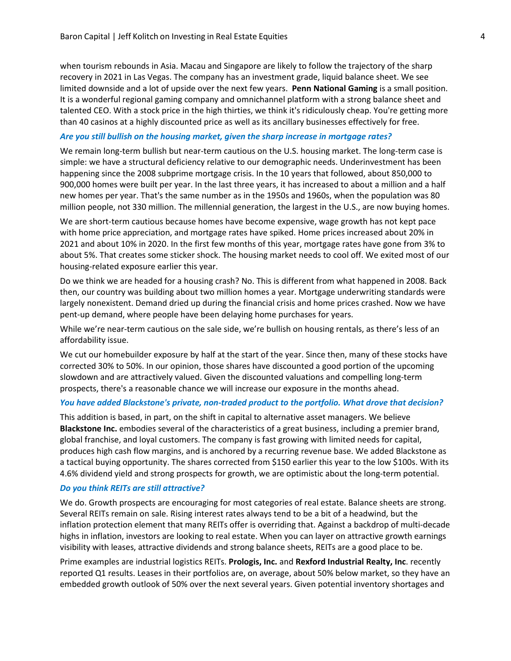when tourism rebounds in Asia. Macau and Singapore are likely to follow the trajectory of the sharp recovery in 2021 in Las Vegas. The company has an investment grade, liquid balance sheet. We see limited downside and a lot of upside over the next few years. **Penn National Gaming** is a small position. It is a wonderful regional gaming company and omnichannel platform with a strong balance sheet and talented CEO. With a stock price in the high thirties, we think it's ridiculously cheap. You're getting more than 40 casinos at a highly discounted price as well as its ancillary businesses effectively for free.

## *Are you still bullish on the housing market, given the sharp increase in mortgage rates?*

We remain long-term bullish but near-term cautious on the U.S. housing market. The long-term case is simple: we have a structural deficiency relative to our demographic needs. Underinvestment has been happening since the 2008 subprime mortgage crisis. In the 10 years that followed, about 850,000 to 900,000 homes were built per year. In the last three years, it has increased to about a million and a half new homes per year. That's the same number as in the 1950s and 1960s, when the population was 80 million people, not 330 million. The millennial generation, the largest in the U.S., are now buying homes.

We are short-term cautious because homes have become expensive, wage growth has not kept pace with home price appreciation, and mortgage rates have spiked. Home prices increased about 20% in 2021 and about 10% in 2020. In the first few months of this year, mortgage rates have gone from 3% to about 5%. That creates some sticker shock. The housing market needs to cool off. We exited most of our housing-related exposure earlier this year.

Do we think we are headed for a housing crash? No. This is different from what happened in 2008. Back then, our country was building about two million homes a year. Mortgage underwriting standards were largely nonexistent. Demand dried up during the financial crisis and home prices crashed. Now we have pent-up demand, where people have been delaying home purchases for years.

While we're near-term cautious on the sale side, we're bullish on housing rentals, as there's less of an affordability issue.

We cut our homebuilder exposure by half at the start of the year. Since then, many of these stocks have corrected 30% to 50%. In our opinion, those shares have discounted a good portion of the upcoming slowdown and are attractively valued. Given the discounted valuations and compelling long-term prospects, there's a reasonable chance we will increase our exposure in the months ahead.

#### *You have added Blackstone's private, non-traded product to the portfolio. What drove that decision?*

This addition is based, in part, on the shift in capital to alternative asset managers. We believe **Blackstone Inc.** embodies several of the characteristics of a great business, including a premier brand, global franchise, and loyal customers. The company is fast growing with limited needs for capital, produces high cash flow margins, and is anchored by a recurring revenue base. We added Blackstone as a tactical buying opportunity. The shares corrected from \$150 earlier this year to the low \$100s. With its 4.6% dividend yield and strong prospects for growth, we are optimistic about the long-term potential.

#### *Do you think REITs are still attractive?*

We do. Growth prospects are encouraging for most categories of real estate. Balance sheets are strong. Several REITs remain on sale. Rising interest rates always tend to be a bit of a headwind, but the inflation protection element that many REITs offer is overriding that. Against a backdrop of multi-decade highs in inflation, investors are looking to real estate. When you can layer on attractive growth earnings visibility with leases, attractive dividends and strong balance sheets, REITs are a good place to be.

Prime examples are industrial logistics REITs. **Prologis, Inc.** and **Rexford Industrial Realty, Inc**. recently reported Q1 results. Leases in their portfolios are, on average, about 50% below market, so they have an embedded growth outlook of 50% over the next several years. Given potential inventory shortages and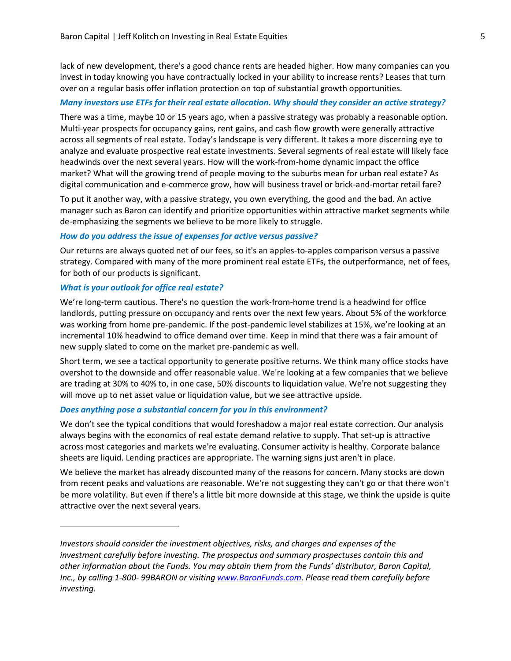lack of new development, there's a good chance rents are headed higher. How many companies can you invest in today knowing you have contractually locked in your ability to increase rents? Leases that turn over on a regular basis offer inflation protection on top of substantial growth opportunities.

# *Many investors use ETFs for their real estate allocation. Why should they consider an active strategy?*

There was a time, maybe 10 or 15 years ago, when a passive strategy was probably a reasonable option. Multi-year prospects for occupancy gains, rent gains, and cash flow growth were generally attractive across all segments of real estate. Today's landscape is very different. It takes a more discerning eye to analyze and evaluate prospective real estate investments. Several segments of real estate will likely face headwinds over the next several years. How will the work-from-home dynamic impact the office market? What will the growing trend of people moving to the suburbs mean for urban real estate? As digital communication and e-commerce grow, how will business travel or brick-and-mortar retail fare?

To put it another way, with a passive strategy, you own everything, the good and the bad. An active manager such as Baron can identify and prioritize opportunities within attractive market segments while de-emphasizing the segments we believe to be more likely to struggle.

#### *How do you address the issue of expenses for active versus passive?*

Our returns are always quoted net of our fees, so it's an apples-to-apples comparison versus a passive strategy. Compared with many of the more prominent real estate ETFs, the outperformance, net of fees, for both of our products is significant.

# *What is your outlook for office real estate?*

We're long-term cautious. There's no question the work-from-home trend is a headwind for office landlords, putting pressure on occupancy and rents over the next few years. About 5% of the workforce was working from home pre-pandemic. If the post-pandemic level stabilizes at 15%, we're looking at an incremental 10% headwind to office demand over time. Keep in mind that there was a fair amount of new supply slated to come on the market pre-pandemic as well.

Short term, we see a tactical opportunity to generate positive returns. We think many office stocks have overshot to the downside and offer reasonable value. We're looking at a few companies that we believe are trading at 30% to 40% to, in one case, 50% discounts to liquidation value. We're not suggesting they will move up to net asset value or liquidation value, but we see attractive upside.

#### *Does anything pose a substantial concern for you in this environment?*

We don't see the typical conditions that would foreshadow a major real estate correction. Our analysis always begins with the economics of real estate demand relative to supply. That set-up is attractive across most categories and markets we're evaluating. Consumer activity is healthy. Corporate balance sheets are liquid. Lending practices are appropriate. The warning signs just aren't in place.

We believe the market has already discounted many of the reasons for concern. Many stocks are down from recent peaks and valuations are reasonable. We're not suggesting they can't go or that there won't be more volatility. But even if there's a little bit more downside at this stage, we think the upside is quite attractive over the next several years.

*Investors should consider the investment objectives, risks, and charges and expenses of the investment carefully before investing. The prospectus and summary prospectuses contain this and other information about the Funds. You may obtain them from the Funds' distributor, Baron Capital, Inc., by calling 1-800- 99BARON or visiting [www.BaronFunds.com. P](http://www.baronfunds.com/)lease read them carefully before investing.*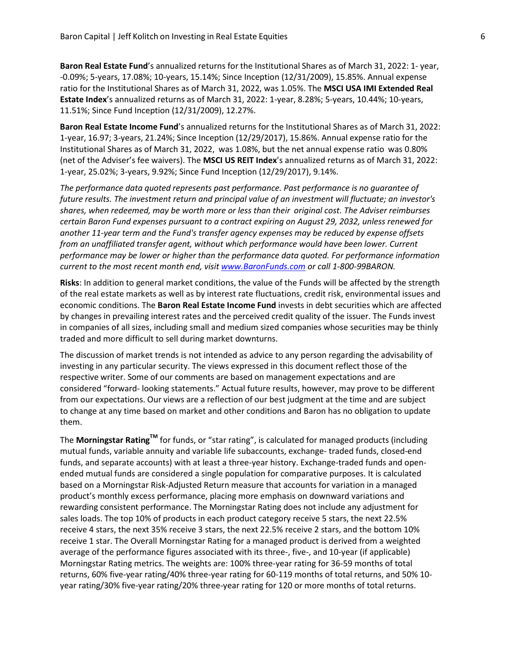**Baron Real Estate Fund**'s annualized returns for the Institutional Shares as of March 31, 2022: 1- year, -0.09%; 5-years, 17.08%; 10-years, 15.14%; Since Inception (12/31/2009), 15.85%. Annual expense ratio for the Institutional Shares as of March 31, 2022, was 1.05%. The **MSCI USA IMI Extended Real Estate Index**'s annualized returns as of March 31, 2022: 1-year, 8.28%; 5-years, 10.44%; 10-years, 11.51%; Since Fund Inception (12/31/2009), 12.27%.

**Baron Real Estate Income Fund**'s annualized returns for the Institutional Shares as of March 31, 2022: 1-year, 16.97; 3-years, 21.24%; Since Inception (12/29/2017), 15.86%. Annual expense ratio for the Institutional Shares as of March 31, 2022, was 1.08%, but the net annual expense ratio was 0.80% (net of the Adviser's fee waivers). The **MSCI US REIT Index**'s annualized returns as of March 31, 2022: 1-year, 25.02%; 3-years, 9.92%; Since Fund Inception (12/29/2017), 9.14%.

*The performance data quoted represents past performance. Past performance is no guarantee of future results. The investment return and principal value of an investment will fluctuate; an investor's shares, when redeemed, may be worth more or less than their original cost. The Adviser reimburses certain Baron Fund expenses pursuant to a contract expiring on August 29, 2032, unless renewed for another 11-year term and the Fund's transfer agency expenses may be reduced by expense offsets from an unaffiliated transfer agent, without which performance would have been lower. Current performance may be lower or higher than the performance data quoted. For performance information current to the most recent month end, visit [www.BaronFunds.com](http://www.baronfunds.com/) or call 1-800-99BARON.*

**Risks**: In addition to general market conditions, the value of the Funds will be affected by the strength of the real estate markets as well as by interest rate fluctuations, credit risk, environmental issues and economic conditions. The **Baron Real Estate Income Fund** invests in debt securities which are affected by changes in prevailing interest rates and the perceived credit quality of the issuer. The Funds invest in companies of all sizes, including small and medium sized companies whose securities may be thinly traded and more difficult to sell during market downturns.

The discussion of market trends is not intended as advice to any person regarding the advisability of investing in any particular security. The views expressed in this document reflect those of the respective writer. Some of our comments are based on management expectations and are considered "forward- looking statements." Actual future results, however, may prove to be different from our expectations. Our views are a reflection of our best judgment at the time and are subject to change at any time based on market and other conditions and Baron has no obligation to update them.

The **Morningstar RatingTM** for funds, or "star rating", is calculated for managed products (including mutual funds, variable annuity and variable life subaccounts, exchange- traded funds, closed-end funds, and separate accounts) with at least a three-year history. Exchange-traded funds and openended mutual funds are considered a single population for comparative purposes. It is calculated based on a Morningstar Risk-Adjusted Return measure that accounts for variation in a managed product's monthly excess performance, placing more emphasis on downward variations and rewarding consistent performance. The Morningstar Rating does not include any adjustment for sales loads. The top 10% of products in each product category receive 5 stars, the next 22.5% receive 4 stars, the next 35% receive 3 stars, the next 22.5% receive 2 stars, and the bottom 10% receive 1 star. The Overall Morningstar Rating for a managed product is derived from a weighted average of the performance figures associated with its three-, five-, and 10-year (if applicable) Morningstar Rating metrics. The weights are: 100% three-year rating for 36-59 months of total returns, 60% five-year rating/40% three-year rating for 60-119 months of total returns, and 50% 10 year rating/30% five-year rating/20% three-year rating for 120 or more months of total returns.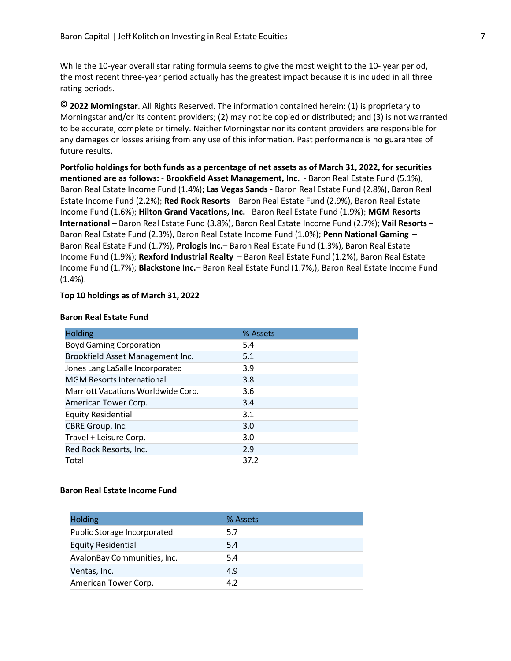While the 10-year overall star rating formula seems to give the most weight to the 10- year period, the most recent three-year period actually has the greatest impact because it is included in all three rating periods.

**© 2022 Morningstar**. All Rights Reserved. The information contained herein: (1) is proprietary to Morningstar and/or its content providers; (2) may not be copied or distributed; and (3) is not warranted to be accurate, complete or timely. Neither Morningstar nor its content providers are responsible for any damages or losses arising from any use of this information. Past performance is no guarantee of future results.

**Portfolio holdings for both funds as a percentage of net assets as of March 31, 2022, for securities mentioned are as follows:** - **Brookfield Asset Management, Inc.** - Baron Real Estate Fund (5.1%), Baron Real Estate Income Fund (1.4%); **Las Vegas Sands -** Baron Real Estate Fund (2.8%), Baron Real Estate Income Fund (2.2%); **Red Rock Resorts** – Baron Real Estate Fund (2.9%), Baron Real Estate Income Fund (1.6%); **Hilton Grand Vacations, Inc.**– Baron Real Estate Fund (1.9%); **MGM Resorts International** – Baron Real Estate Fund (3.8%), Baron Real Estate Income Fund (2.7%); **Vail Resorts** – Baron Real Estate Fund (2.3%), Baron Real Estate Income Fund (1.0%); **Penn National Gaming** – Baron Real Estate Fund (1.7%), **Prologis Inc.**– Baron Real Estate Fund (1.3%), Baron Real Estate Income Fund (1.9%); **Rexford Industrial Realty** – Baron Real Estate Fund (1.2%), Baron Real Estate Income Fund (1.7%); **Blackstone Inc.**– Baron Real Estate Fund (1.7%,), Baron Real Estate Income Fund  $(1.4\%)$ .

#### **Top 10 holdings as of March 31, 2022**

#### **Baron Real Estate Fund**

| <b>Holding</b>                     | % Assets |
|------------------------------------|----------|
| <b>Boyd Gaming Corporation</b>     | 5.4      |
| Brookfield Asset Management Inc.   | 5.1      |
| Jones Lang LaSalle Incorporated    | 3.9      |
| <b>MGM Resorts International</b>   | 3.8      |
| Marriott Vacations Worldwide Corp. | 3.6      |
| American Tower Corp.               | 3.4      |
| <b>Equity Residential</b>          | 3.1      |
| CBRE Group, Inc.                   | 3.0      |
| Travel + Leisure Corp.             | 3.0      |
| Red Rock Resorts, Inc.             | 2.9      |
| Total                              | 37.2     |

# **Baron Real Estate Income Fund**

| <b>Holding</b>              | % Assets |
|-----------------------------|----------|
| Public Storage Incorporated | 5.7      |
| <b>Equity Residential</b>   | 5.4      |
| AvalonBay Communities, Inc. | 5.4      |
| Ventas, Inc.                | 4.9      |
| American Tower Corp.        | 4.2      |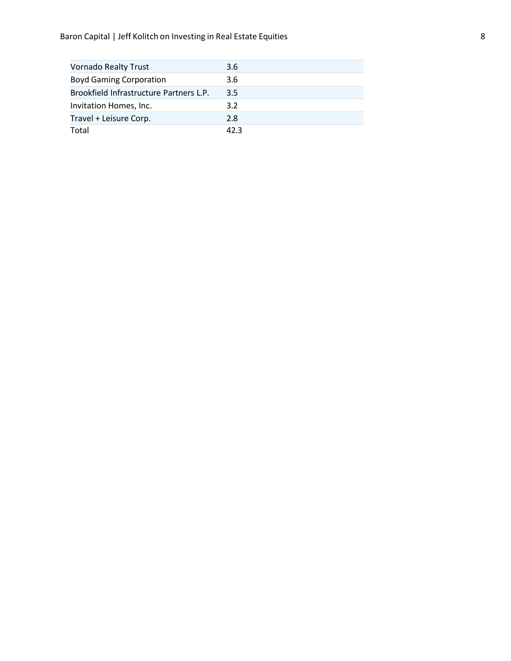| <b>Vornado Realty Trust</b>             | 3.6  |
|-----------------------------------------|------|
| <b>Boyd Gaming Corporation</b>          | 3.6  |
| Brookfield Infrastructure Partners L.P. | 3.5  |
| Invitation Homes, Inc.                  | 3.2  |
| Travel + Leisure Corp.                  | 2.8  |
| Total                                   | 42.3 |